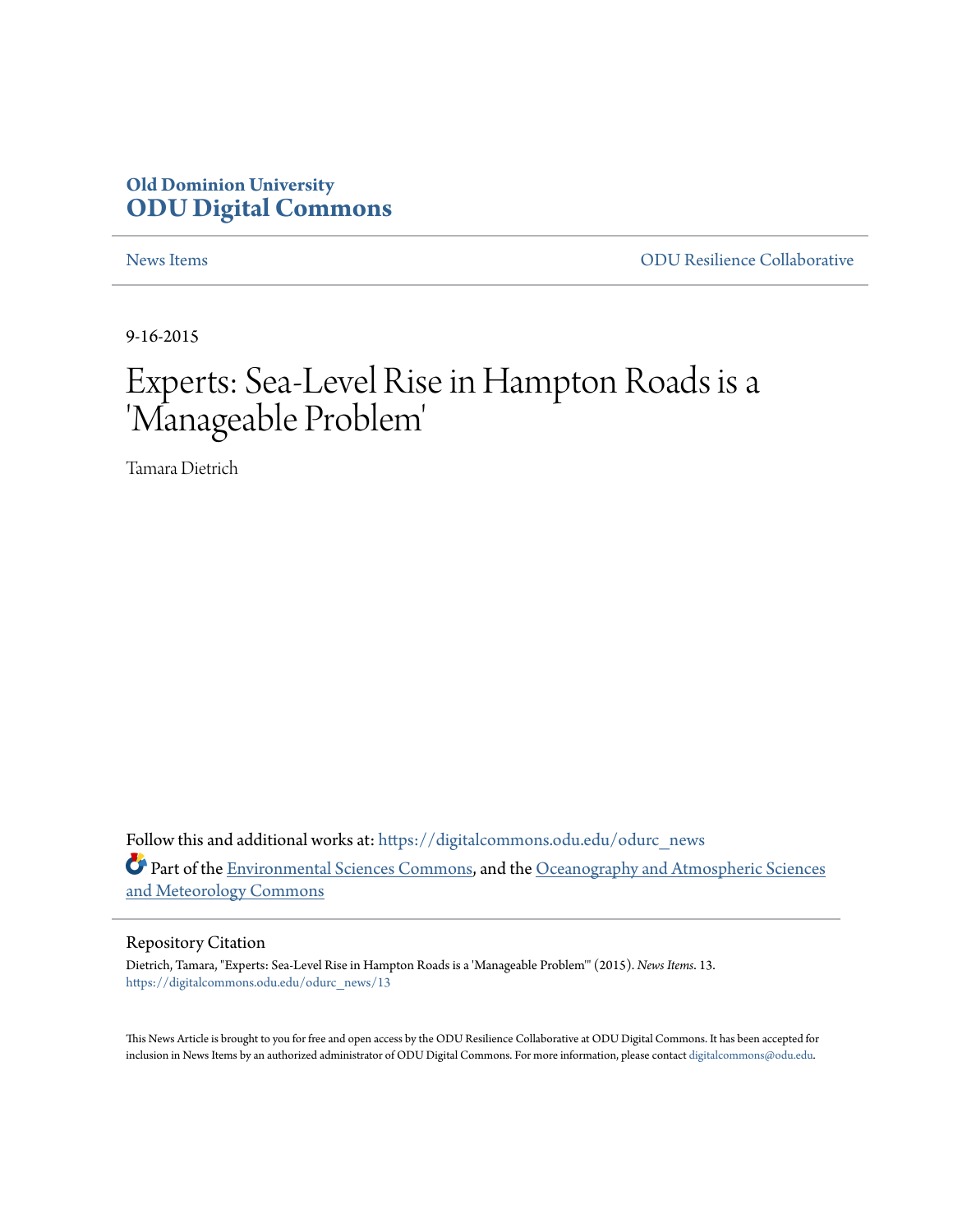### **Old Dominion University [ODU Digital Commons](https://digitalcommons.odu.edu?utm_source=digitalcommons.odu.edu%2Fodurc_news%2F13&utm_medium=PDF&utm_campaign=PDFCoverPages)**

[News Items](https://digitalcommons.odu.edu/odurc_news?utm_source=digitalcommons.odu.edu%2Fodurc_news%2F13&utm_medium=PDF&utm_campaign=PDFCoverPages) [ODU Resilience Collaborative](https://digitalcommons.odu.edu/odurc?utm_source=digitalcommons.odu.edu%2Fodurc_news%2F13&utm_medium=PDF&utm_campaign=PDFCoverPages)

9-16-2015

## Experts: Sea-Level Rise in Hampton Roads is a 'Manageable Problem '

Tamara Dietrich

Follow this and additional works at: [https://digitalcommons.odu.edu/odurc\\_news](https://digitalcommons.odu.edu/odurc_news?utm_source=digitalcommons.odu.edu%2Fodurc_news%2F13&utm_medium=PDF&utm_campaign=PDFCoverPages) Part of the [Environmental Sciences Commons,](http://network.bepress.com/hgg/discipline/167?utm_source=digitalcommons.odu.edu%2Fodurc_news%2F13&utm_medium=PDF&utm_campaign=PDFCoverPages) and the [Oceanography and Atmospheric Sciences](http://network.bepress.com/hgg/discipline/186?utm_source=digitalcommons.odu.edu%2Fodurc_news%2F13&utm_medium=PDF&utm_campaign=PDFCoverPages) [and Meteorology Commons](http://network.bepress.com/hgg/discipline/186?utm_source=digitalcommons.odu.edu%2Fodurc_news%2F13&utm_medium=PDF&utm_campaign=PDFCoverPages)

#### Repository Citation

Dietrich, Tamara, "Experts: Sea-Level Rise in Hampton Roads is a 'Manageable Problem'" (2015). *News Items*. 13. [https://digitalcommons.odu.edu/odurc\\_news/13](https://digitalcommons.odu.edu/odurc_news/13?utm_source=digitalcommons.odu.edu%2Fodurc_news%2F13&utm_medium=PDF&utm_campaign=PDFCoverPages)

This News Article is brought to you for free and open access by the ODU Resilience Collaborative at ODU Digital Commons. It has been accepted for inclusion in News Items by an authorized administrator of ODU Digital Commons. For more information, please contact [digitalcommons@odu.edu.](mailto:digitalcommons@odu.edu)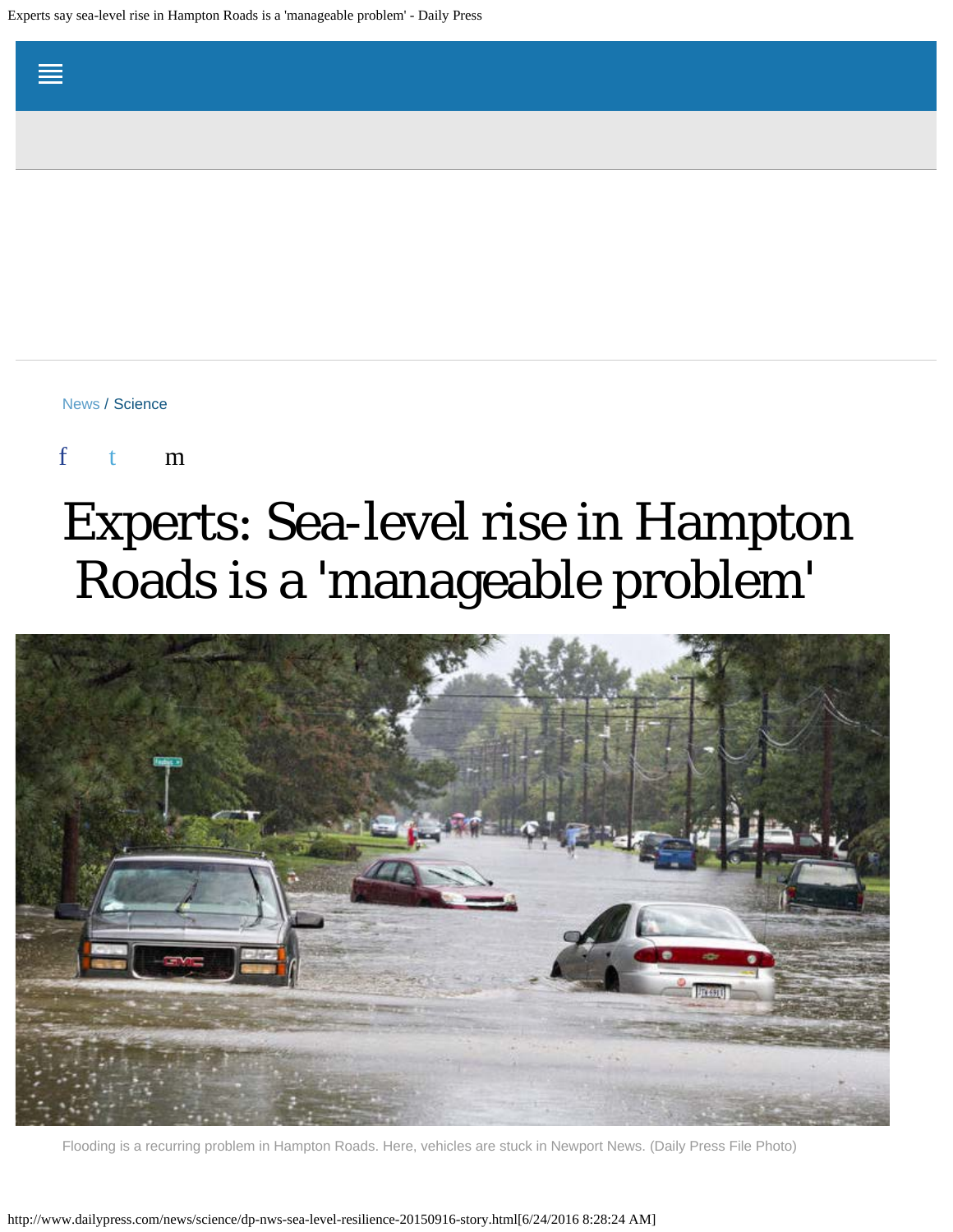Experts say sea-level rise in Hampton Roads is a 'manageable problem' - Daily Press

[News](http://www.dailypress.com/news/#nt=breadcrumb) / [Science](http://www.dailypress.com/news/science/#nt=breadcrumb)

f t m

# Experts: Sea-level rise in Hampton Roads is a 'manageable problem'



Flooding is a recurring problem in Hampton Roads. Here, vehicles are stuck in Newport News. (Daily Press File Photo)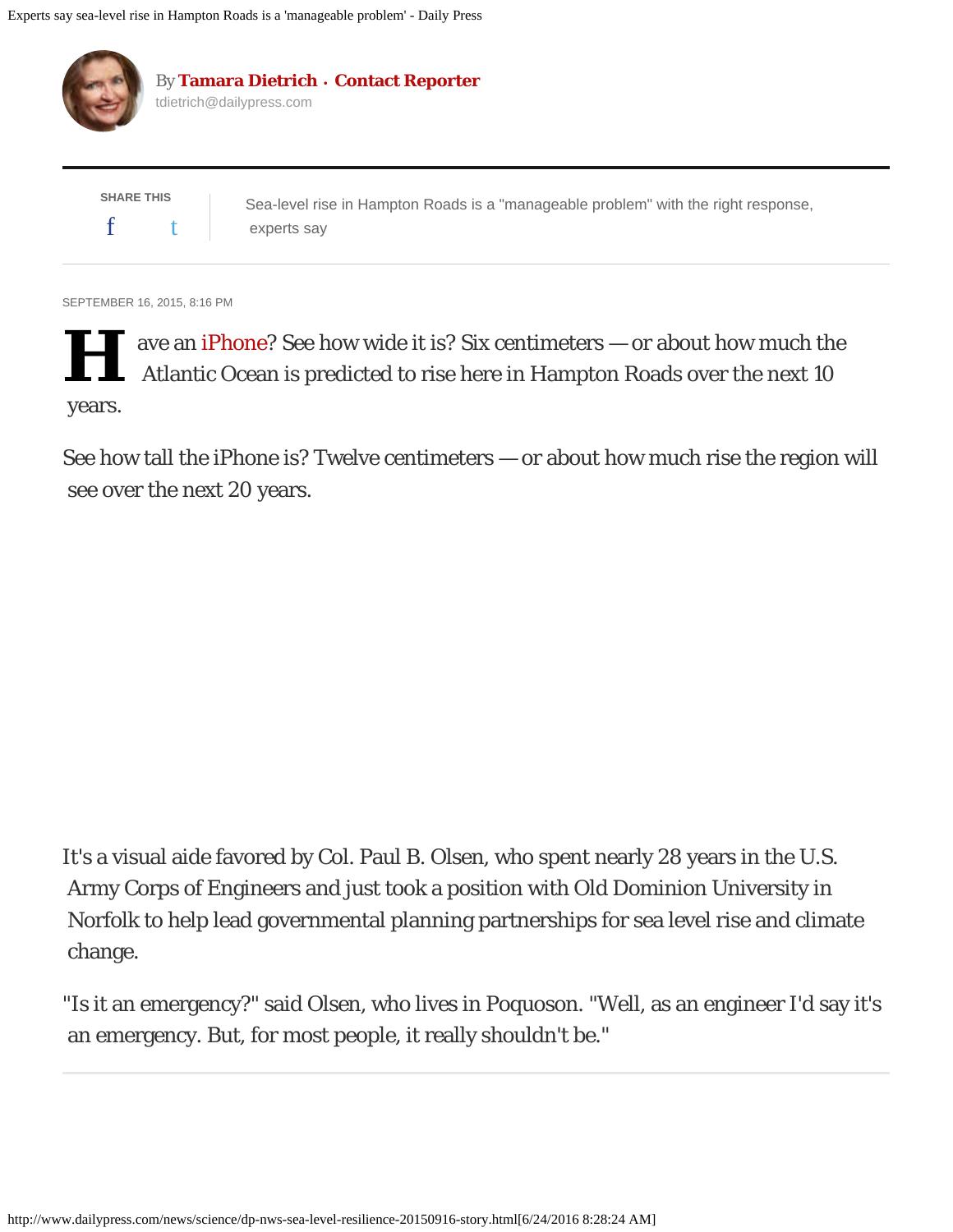

SEPTEMBER 16, 2015, 8:16 PM

**H** ave an [iPhone](http://www.dailypress.com/topic/services-shopping/apple-iphone-PRDCES00000002-topic.html)? See how wide it is? Six centimeters — or about how much the Atlantic Ocean is predicted to rise here in Hampton Roads over the next 10 years.

See how tall the iPhone is? Twelve centimeters — or about how much rise the region will see over the next 20 years.

It's a visual aide favored by Col. Paul B. Olsen, who spent nearly 28 years in the U.S. Army Corps of Engineers and just took a position with Old Dominion University in Norfolk to help lead governmental planning partnerships for sea level rise and climate change.

"Is it an emergency?" said Olsen, who lives in Poquoson. "Well, as an engineer I'd say it's an emergency. But, for most people, it really shouldn't be."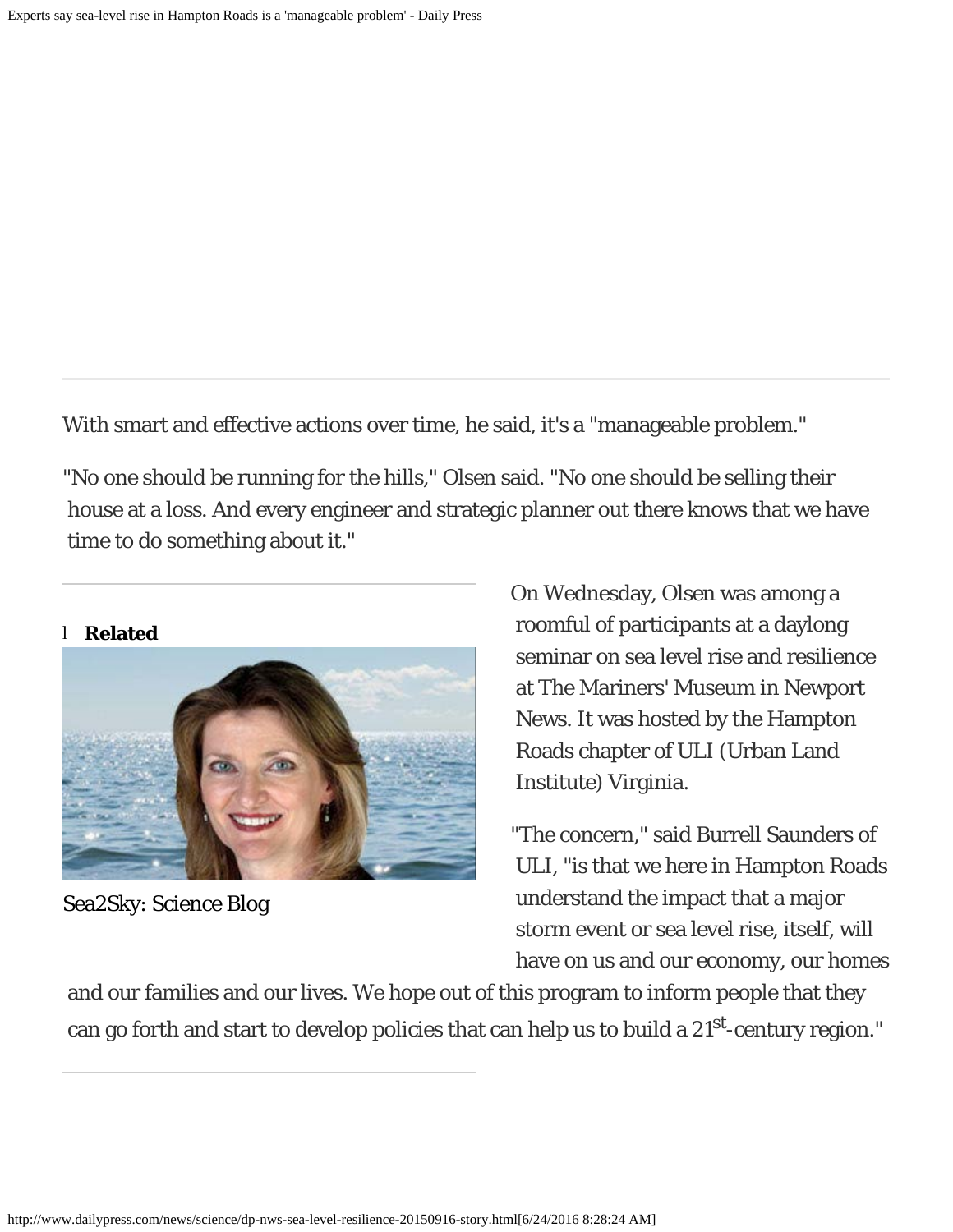With smart and effective actions over time, he said, it's a "manageable problem."

"No one should be running for the hills," Olsen said. "No one should be selling their house at a loss. And every engineer and strategic planner out there knows that we have time to do something about it."

#### l **Related**



[Sea2Sky: Science Blog](http://www.dailypress.com/news/science/sea2sky-blog/)

On Wednesday, Olsen was among a roomful of participants at a daylong seminar on sea level rise and resilience at The Mariners' Museum in Newport News. It was hosted by the Hampton Roads chapter of ULI (Urban Land Institute) Virginia.

"The concern," said Burrell Saunders of ULI, "is that we here in Hampton Roads understand the impact that a major storm event or sea level rise, itself, will have on us and our economy, our homes

 and our families and our lives. We hope out of this program to inform people that they can go forth and start to develop policies that can help us to build a 21st-century region."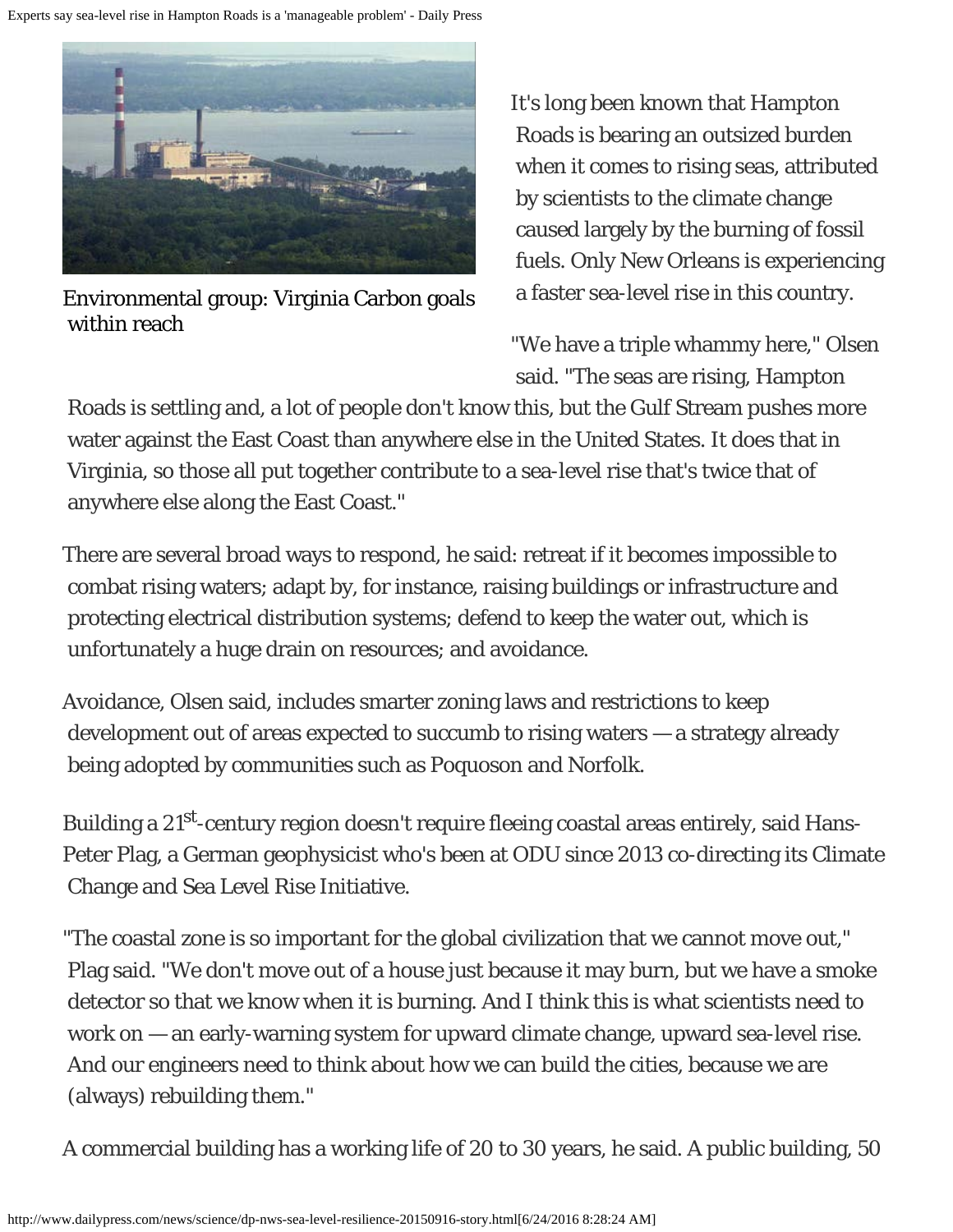

[Environmental group: Virginia Carbon goals](http://www.dailypress.com/news/science/dp-nws-clean-power-plan-hampton-roads-20150818-story.html)  [within reach](http://www.dailypress.com/news/science/dp-nws-clean-power-plan-hampton-roads-20150818-story.html)

It's long been known that Hampton Roads is bearing an outsized burden when it comes to rising seas, attributed by scientists to the climate change caused largely by the burning of fossil fuels. Only New Orleans is experiencing a faster sea-level rise in this country.

"We have a triple whammy here," Olsen said. "The seas are rising, Hampton

 Roads is settling and, a lot of people don't know this, but the Gulf Stream pushes more water against the East Coast than anywhere else in the United States. It does that in Virginia, so those all put together contribute to a sea-level rise that's twice that of anywhere else along the East Coast."

There are several broad ways to respond, he said: retreat if it becomes impossible to combat rising waters; adapt by, for instance, raising buildings or infrastructure and protecting electrical distribution systems; defend to keep the water out, which is unfortunately a huge drain on resources; and avoidance.

Avoidance, Olsen said, includes smarter zoning laws and restrictions to keep development out of areas expected to succumb to rising waters — a strategy already being adopted by communities such as Poquoson and Norfolk.

Building a 21<sup>st</sup>-century region doesn't require fleeing coastal areas entirely, said Hans-Peter Plag, a German geophysicist who's been at ODU since 2013 co-directing its Climate Change and Sea Level Rise Initiative.

"The coastal zone is so important for the global civilization that we cannot move out," Plag said. "We don't move out of a house just because it may burn, but we have a smoke detector so that we know when it is burning. And I think this is what scientists need to work on — an early-warning system for upward climate change, upward sea-level rise. And our engineers need to think about how we can build the cities, because we are (always) rebuilding them."

A commercial building has a working life of 20 to 30 years, he said. A public building, 50